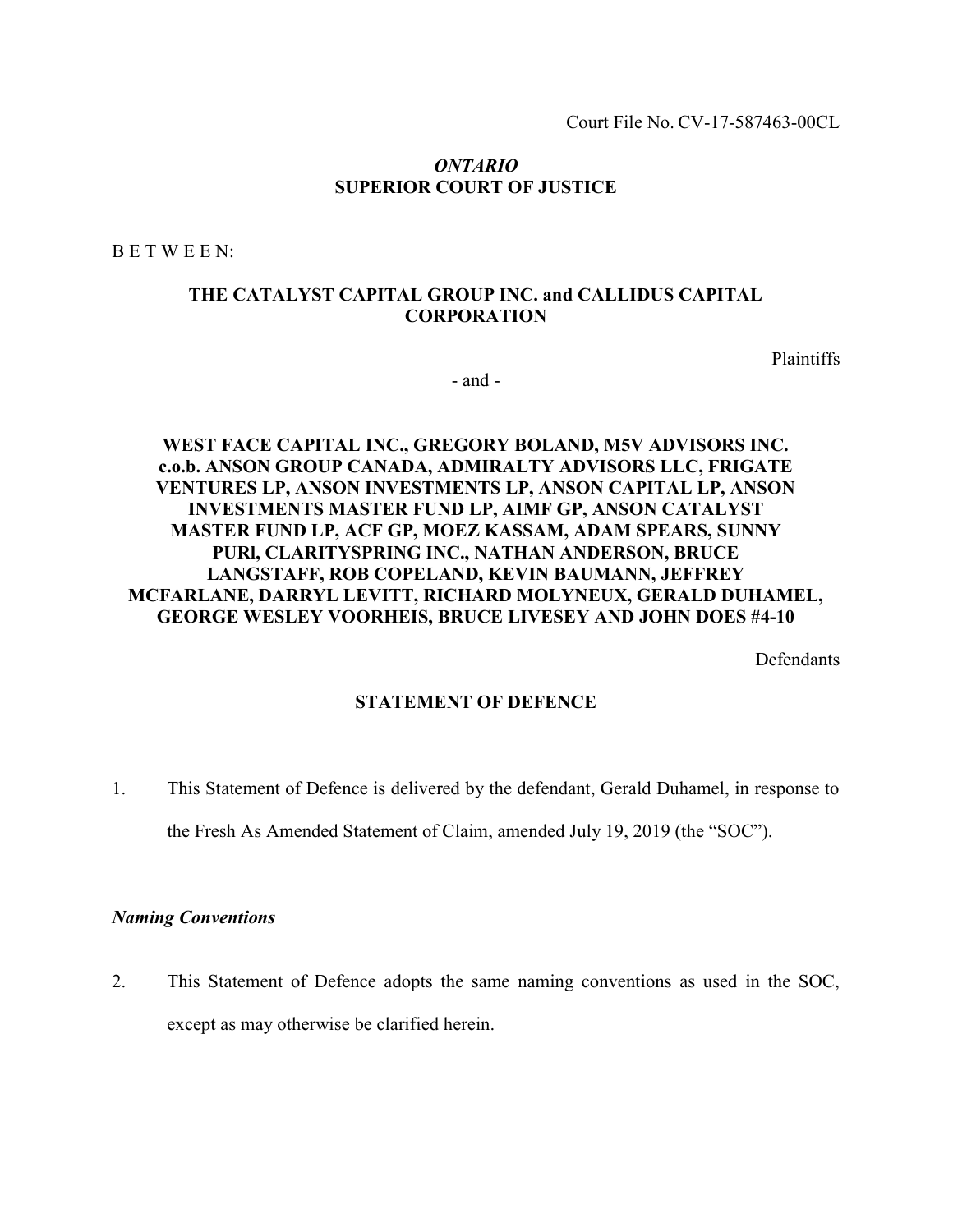Court File No. CV-17-587463-00CL

### ONTARIO SUPERIOR COURT OF JUSTICE

B E T W E E N:

## THE CATALYST CAPITAL GROUP INC. and CALLIDUS CAPITAL **CORPORATION**

Plaintiffs

- and -

# WEST FACE CAPITAL INC., GREGORY BOLAND, M5V ADVISORS INC. c.o.b. ANSON GROUP CANADA, ADMIRALTY ADVISORS LLC, FRIGATE VENTURES LP, ANSON INVESTMENTS LP, ANSON CAPITAL LP, ANSON INVESTMENTS MASTER FUND LP, AIMF GP, ANSON CATALYST MASTER FUND LP, ACF GP, MOEZ KASSAM, ADAM SPEARS, SUNNY PURl, CLARITYSPRING INC., NATHAN ANDERSON, BRUCE LANGSTAFF, ROB COPELAND, KEVIN BAUMANN, JEFFREY MCFARLANE, DARRYL LEVITT, RICHARD MOLYNEUX, GERALD DUHAMEL, GEORGE WESLEY VOORHEIS, BRUCE LIVESEY AND JOHN DOES #4-10

**Defendants** 

#### STATEMENT OF DEFENCE

1. This Statement of Defence is delivered by the defendant, Gerald Duhamel, in response to the Fresh As Amended Statement of Claim, amended July 19, 2019 (the "SOC").

#### Naming Conventions

2. This Statement of Defence adopts the same naming conventions as used in the SOC, except as may otherwise be clarified herein.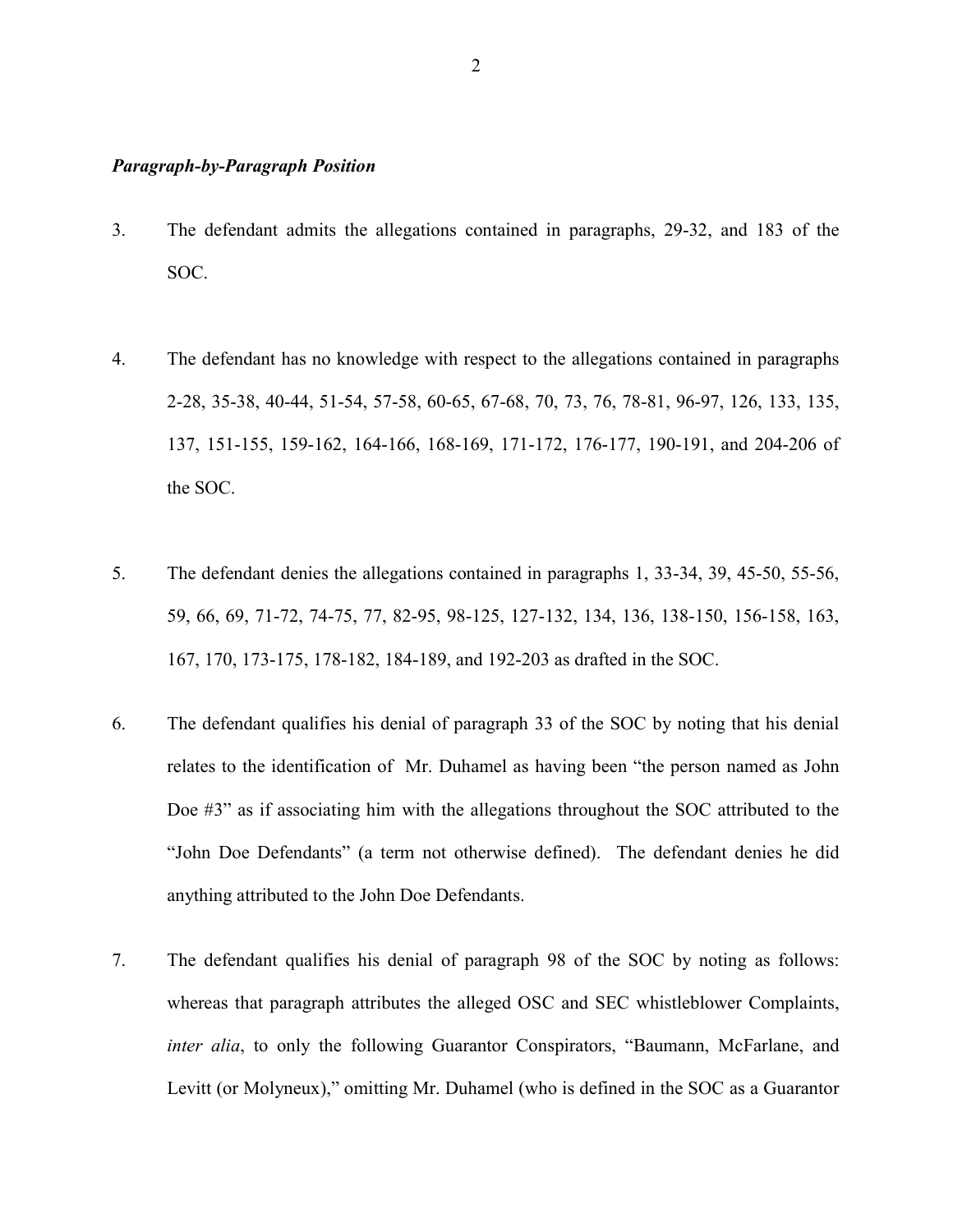#### Paragraph-by-Paragraph Position

- 3. The defendant admits the allegations contained in paragraphs, 29-32, and 183 of the SOC.
- 4. The defendant has no knowledge with respect to the allegations contained in paragraphs 2-28, 35-38, 40-44, 51-54, 57-58, 60-65, 67-68, 70, 73, 76, 78-81, 96-97, 126, 133, 135, 137, 151-155, 159-162, 164-166, 168-169, 171-172, 176-177, 190-191, and 204-206 of the SOC.
- 5. The defendant denies the allegations contained in paragraphs 1, 33-34, 39, 45-50, 55-56, 59, 66, 69, 71-72, 74-75, 77, 82-95, 98-125, 127-132, 134, 136, 138-150, 156-158, 163, 167, 170, 173-175, 178-182, 184-189, and 192-203 as drafted in the SOC.
- 6. The defendant qualifies his denial of paragraph 33 of the SOC by noting that his denial relates to the identification of Mr. Duhamel as having been "the person named as John Doe #3" as if associating him with the allegations throughout the SOC attributed to the "John Doe Defendants" (a term not otherwise defined). The defendant denies he did anything attributed to the John Doe Defendants.
- 7. The defendant qualifies his denial of paragraph 98 of the SOC by noting as follows: whereas that paragraph attributes the alleged OSC and SEC whistleblower Complaints, inter alia, to only the following Guarantor Conspirators, "Baumann, McFarlane, and Levitt (or Molyneux)," omitting Mr. Duhamel (who is defined in the SOC as a Guarantor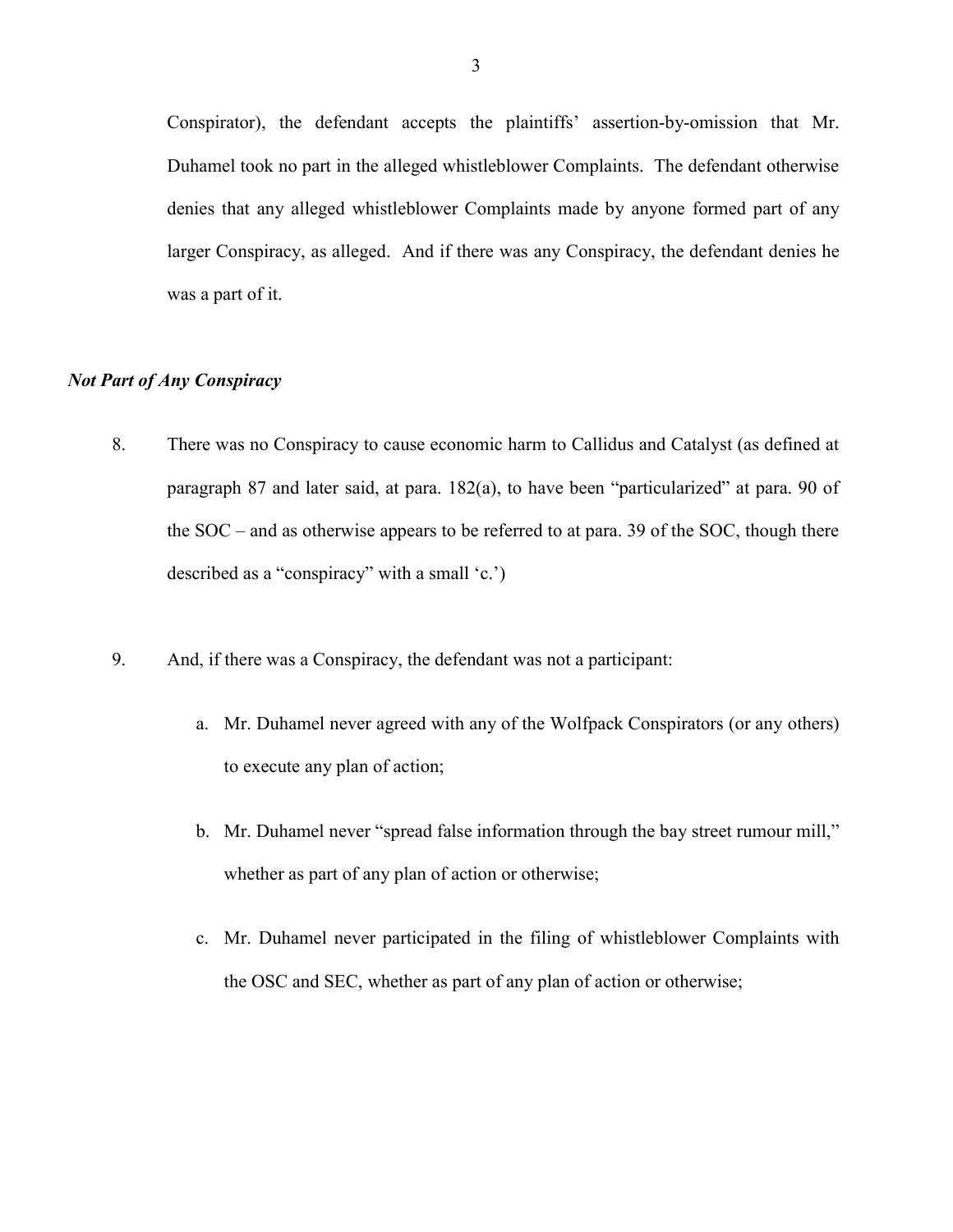Conspirator), the defendant accepts the plaintiffs' assertion-by-omission that Mr. Duhamel took no part in the alleged whistleblower Complaints. The defendant otherwise denies that any alleged whistleblower Complaints made by anyone formed part of any larger Conspiracy, as alleged. And if there was any Conspiracy, the defendant denies he was a part of it.

# Not Part of Any Conspiracy

- 8. There was no Conspiracy to cause economic harm to Callidus and Catalyst (as defined at paragraph 87 and later said, at para. 182(a), to have been "particularized" at para. 90 of the SOC – and as otherwise appears to be referred to at para. 39 of the SOC, though there described as a "conspiracy" with a small 'c.')
- 9. And, if there was a Conspiracy, the defendant was not a participant:
	- a. Mr. Duhamel never agreed with any of the Wolfpack Conspirators (or any others) to execute any plan of action;
	- b. Mr. Duhamel never "spread false information through the bay street rumour mill," whether as part of any plan of action or otherwise;
	- c. Mr. Duhamel never participated in the filing of whistleblower Complaints with the OSC and SEC, whether as part of any plan of action or otherwise;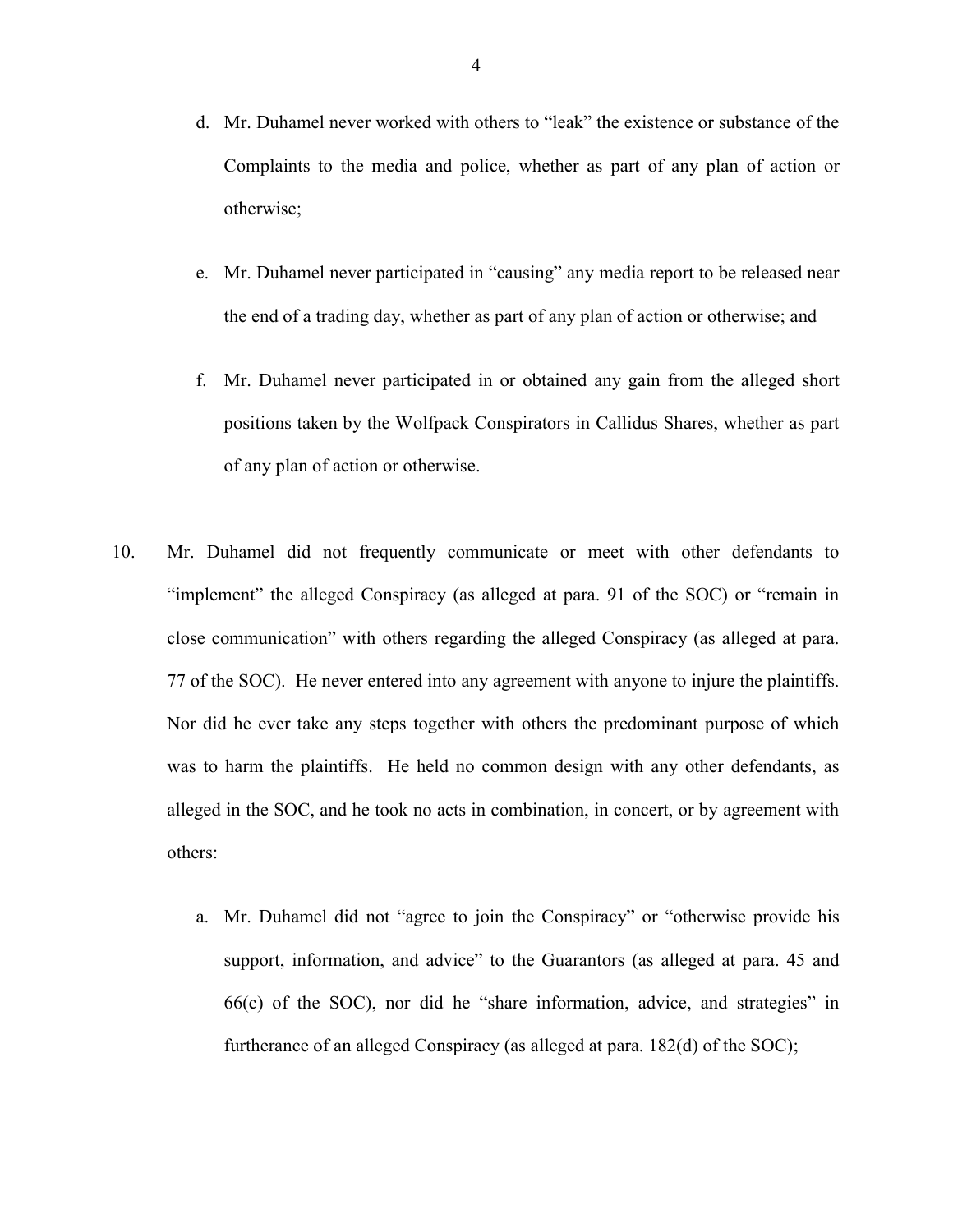- d. Mr. Duhamel never worked with others to "leak" the existence or substance of the Complaints to the media and police, whether as part of any plan of action or otherwise;
- e. Mr. Duhamel never participated in "causing" any media report to be released near the end of a trading day, whether as part of any plan of action or otherwise; and
- f. Mr. Duhamel never participated in or obtained any gain from the alleged short positions taken by the Wolfpack Conspirators in Callidus Shares, whether as part of any plan of action or otherwise.
- 10. Mr. Duhamel did not frequently communicate or meet with other defendants to "implement" the alleged Conspiracy (as alleged at para. 91 of the SOC) or "remain in close communication" with others regarding the alleged Conspiracy (as alleged at para. 77 of the SOC). He never entered into any agreement with anyone to injure the plaintiffs. Nor did he ever take any steps together with others the predominant purpose of which was to harm the plaintiffs. He held no common design with any other defendants, as alleged in the SOC, and he took no acts in combination, in concert, or by agreement with others:
	- a. Mr. Duhamel did not "agree to join the Conspiracy" or "otherwise provide his support, information, and advice" to the Guarantors (as alleged at para. 45 and 66(c) of the SOC), nor did he "share information, advice, and strategies" in furtherance of an alleged Conspiracy (as alleged at para. 182(d) of the SOC);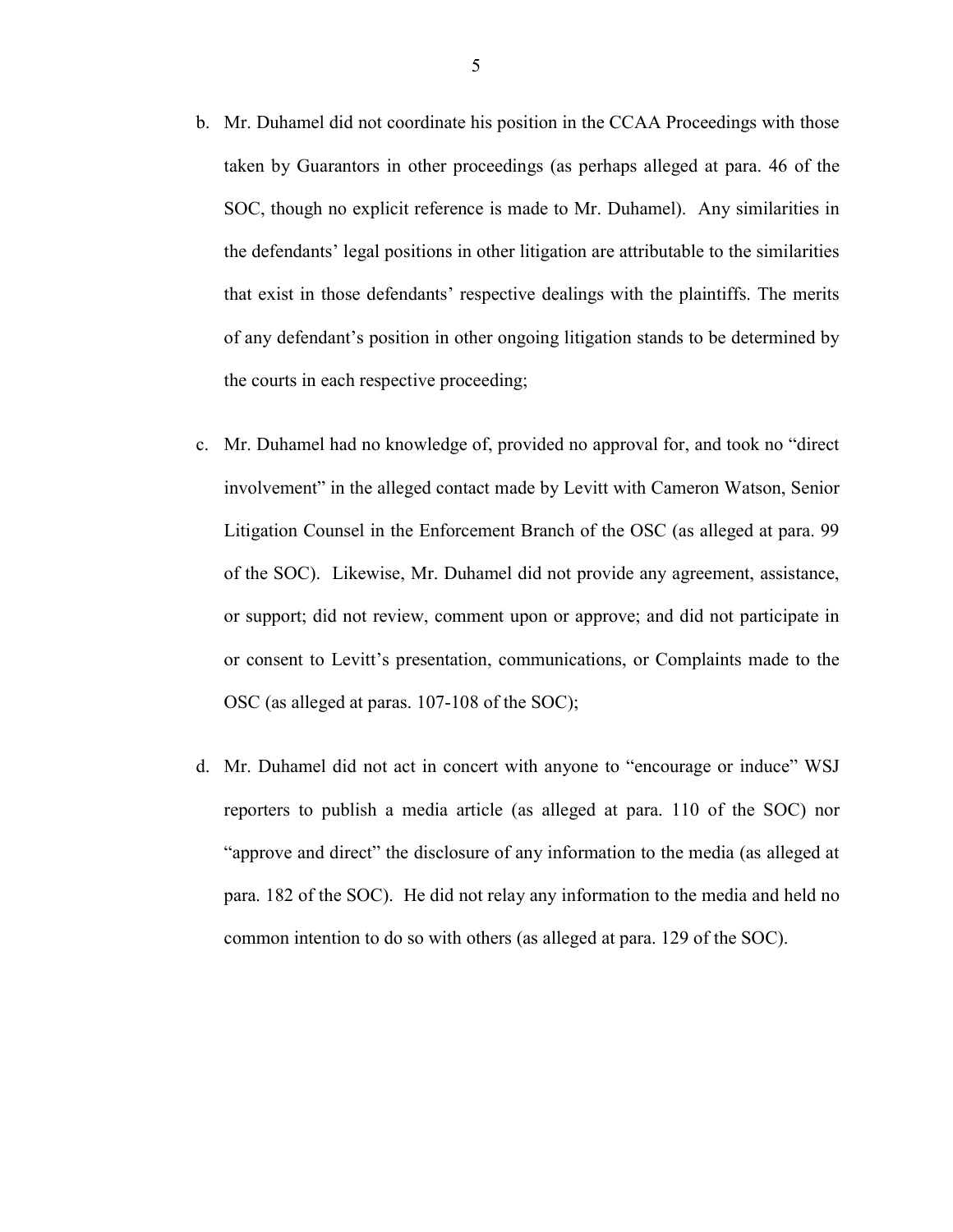- b. Mr. Duhamel did not coordinate his position in the CCAA Proceedings with those taken by Guarantors in other proceedings (as perhaps alleged at para. 46 of the SOC, though no explicit reference is made to Mr. Duhamel). Any similarities in the defendants' legal positions in other litigation are attributable to the similarities that exist in those defendants' respective dealings with the plaintiffs. The merits of any defendant's position in other ongoing litigation stands to be determined by the courts in each respective proceeding;
- c. Mr. Duhamel had no knowledge of, provided no approval for, and took no "direct involvement" in the alleged contact made by Levitt with Cameron Watson, Senior Litigation Counsel in the Enforcement Branch of the OSC (as alleged at para. 99 of the SOC). Likewise, Mr. Duhamel did not provide any agreement, assistance, or support; did not review, comment upon or approve; and did not participate in or consent to Levitt's presentation, communications, or Complaints made to the OSC (as alleged at paras. 107-108 of the SOC);
- d. Mr. Duhamel did not act in concert with anyone to "encourage or induce" WSJ reporters to publish a media article (as alleged at para. 110 of the SOC) nor "approve and direct" the disclosure of any information to the media (as alleged at para. 182 of the SOC). He did not relay any information to the media and held no common intention to do so with others (as alleged at para. 129 of the SOC).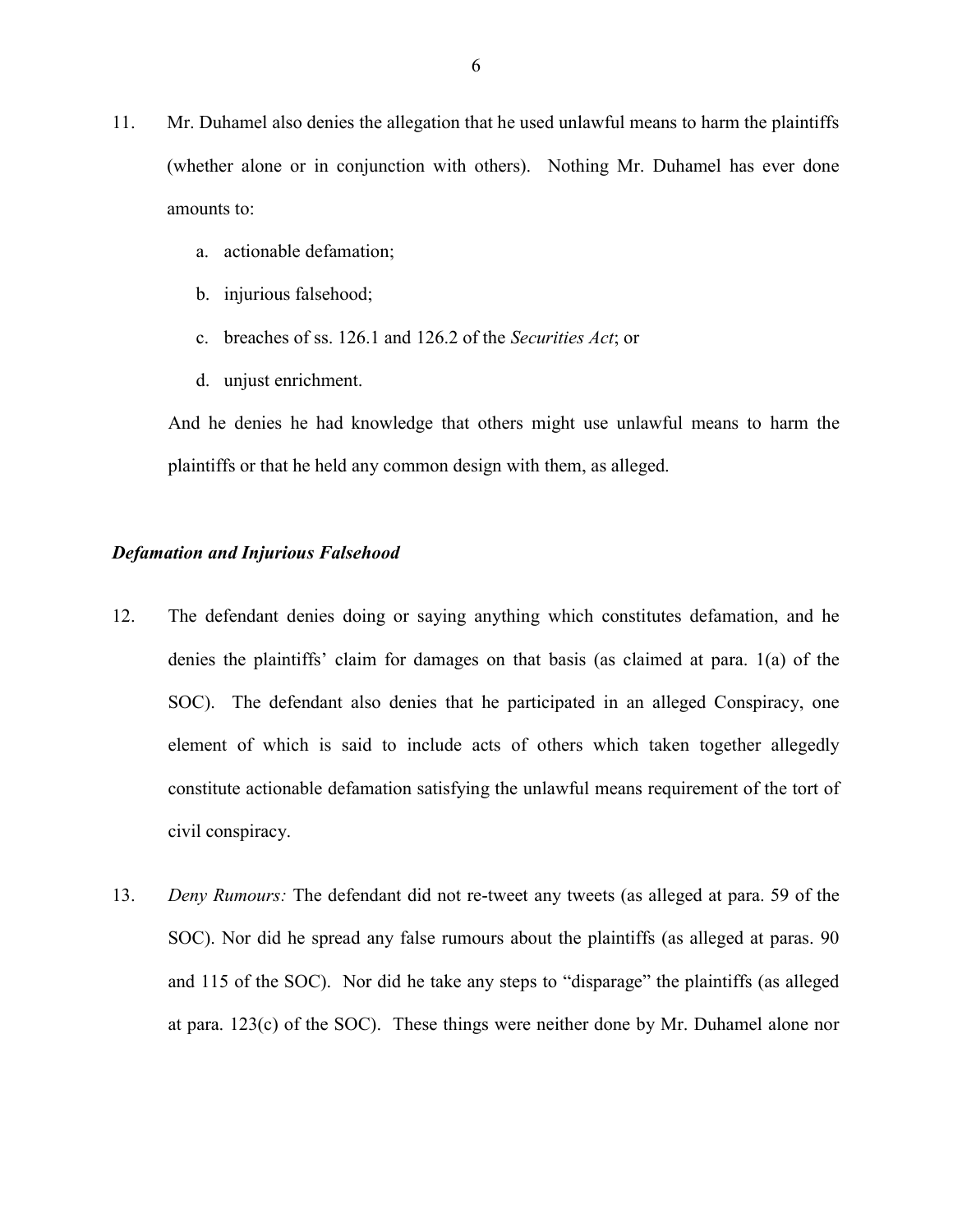- 11. Mr. Duhamel also denies the allegation that he used unlawful means to harm the plaintiffs (whether alone or in conjunction with others). Nothing Mr. Duhamel has ever done amounts to:
	- a. actionable defamation;
	- b. injurious falsehood;
	- c. breaches of ss. 126.1 and 126.2 of the Securities Act; or
	- d. unjust enrichment.

And he denies he had knowledge that others might use unlawful means to harm the plaintiffs or that he held any common design with them, as alleged.

#### Defamation and Injurious Falsehood

- 12. The defendant denies doing or saying anything which constitutes defamation, and he denies the plaintiffs' claim for damages on that basis (as claimed at para. 1(a) of the SOC). The defendant also denies that he participated in an alleged Conspiracy, one element of which is said to include acts of others which taken together allegedly constitute actionable defamation satisfying the unlawful means requirement of the tort of civil conspiracy.
- 13. Deny Rumours: The defendant did not re-tweet any tweets (as alleged at para. 59 of the SOC). Nor did he spread any false rumours about the plaintiffs (as alleged at paras. 90 and 115 of the SOC). Nor did he take any steps to "disparage" the plaintiffs (as alleged at para. 123(c) of the SOC). These things were neither done by Mr. Duhamel alone nor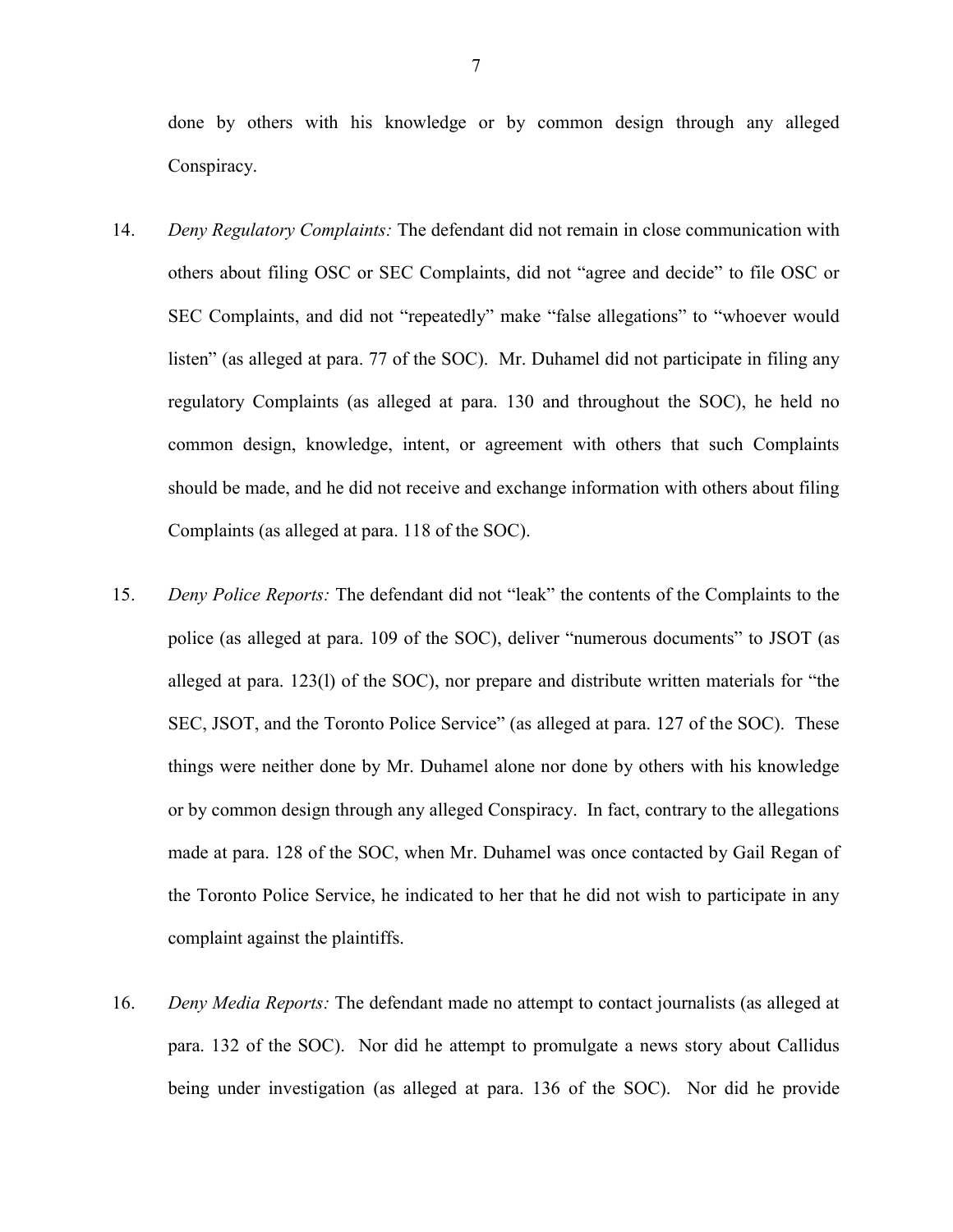done by others with his knowledge or by common design through any alleged Conspiracy.

- 14. Deny Regulatory Complaints: The defendant did not remain in close communication with others about filing OSC or SEC Complaints, did not "agree and decide" to file OSC or SEC Complaints, and did not "repeatedly" make "false allegations" to "whoever would listen" (as alleged at para. 77 of the SOC). Mr. Duhamel did not participate in filing any regulatory Complaints (as alleged at para. 130 and throughout the SOC), he held no common design, knowledge, intent, or agreement with others that such Complaints should be made, and he did not receive and exchange information with others about filing Complaints (as alleged at para. 118 of the SOC).
- 15. Deny Police Reports: The defendant did not "leak" the contents of the Complaints to the police (as alleged at para. 109 of the SOC), deliver "numerous documents" to JSOT (as alleged at para. 123(l) of the SOC), nor prepare and distribute written materials for "the SEC, JSOT, and the Toronto Police Service" (as alleged at para. 127 of the SOC). These things were neither done by Mr. Duhamel alone nor done by others with his knowledge or by common design through any alleged Conspiracy. In fact, contrary to the allegations made at para. 128 of the SOC, when Mr. Duhamel was once contacted by Gail Regan of the Toronto Police Service, he indicated to her that he did not wish to participate in any complaint against the plaintiffs.
- 16. Deny Media Reports: The defendant made no attempt to contact journalists (as alleged at para. 132 of the SOC). Nor did he attempt to promulgate a news story about Callidus being under investigation (as alleged at para. 136 of the SOC). Nor did he provide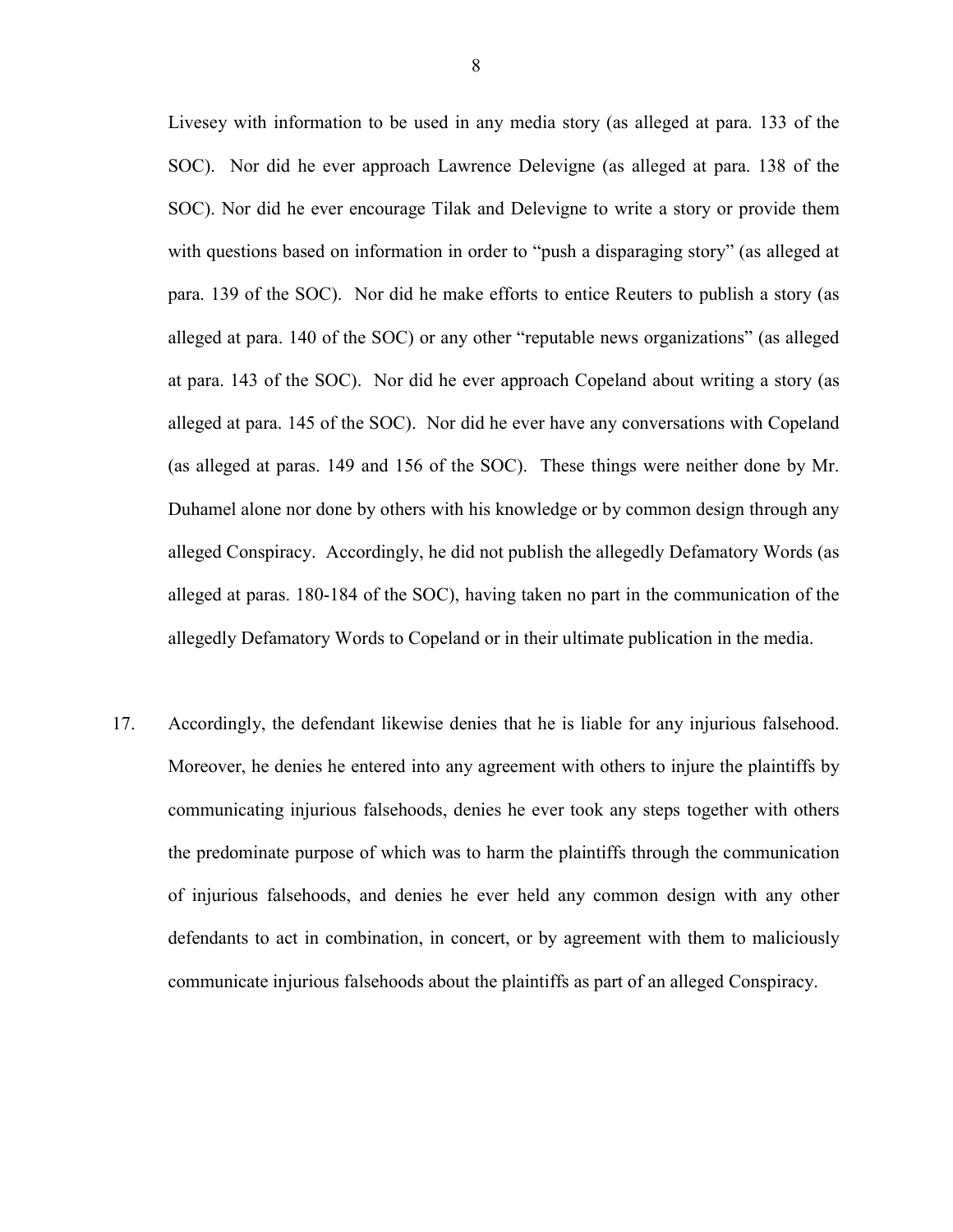Livesey with information to be used in any media story (as alleged at para. 133 of the SOC). Nor did he ever approach Lawrence Delevigne (as alleged at para. 138 of the SOC). Nor did he ever encourage Tilak and Delevigne to write a story or provide them with questions based on information in order to "push a disparaging story" (as alleged at para. 139 of the SOC). Nor did he make efforts to entice Reuters to publish a story (as alleged at para. 140 of the SOC) or any other "reputable news organizations" (as alleged at para. 143 of the SOC). Nor did he ever approach Copeland about writing a story (as alleged at para. 145 of the SOC). Nor did he ever have any conversations with Copeland (as alleged at paras. 149 and 156 of the SOC). These things were neither done by Mr. Duhamel alone nor done by others with his knowledge or by common design through any alleged Conspiracy. Accordingly, he did not publish the allegedly Defamatory Words (as alleged at paras. 180-184 of the SOC), having taken no part in the communication of the allegedly Defamatory Words to Copeland or in their ultimate publication in the media.

17. Accordingly, the defendant likewise denies that he is liable for any injurious falsehood. Moreover, he denies he entered into any agreement with others to injure the plaintiffs by communicating injurious falsehoods, denies he ever took any steps together with others the predominate purpose of which was to harm the plaintiffs through the communication of injurious falsehoods, and denies he ever held any common design with any other defendants to act in combination, in concert, or by agreement with them to maliciously communicate injurious falsehoods about the plaintiffs as part of an alleged Conspiracy.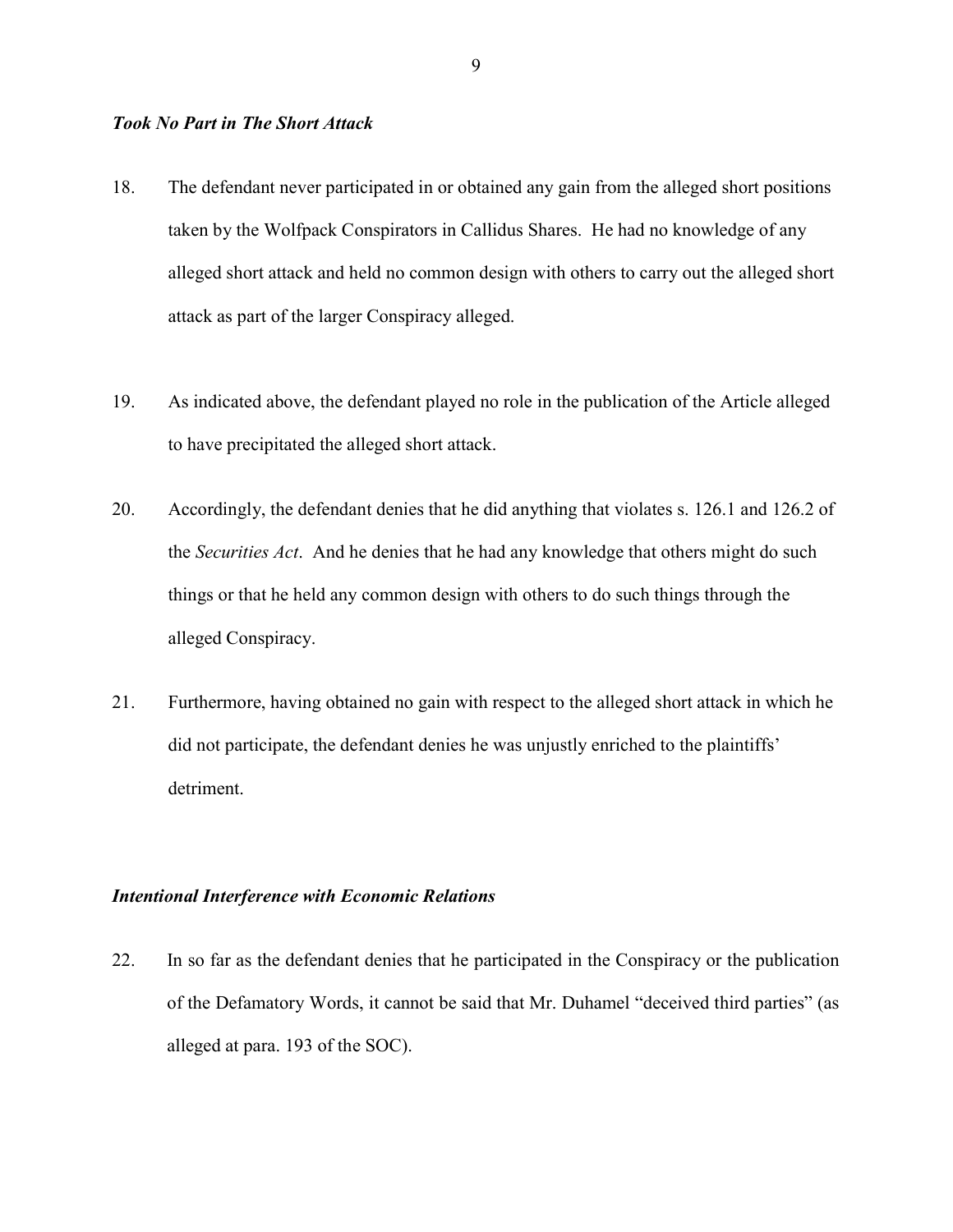#### Took No Part in The Short Attack

- 18. The defendant never participated in or obtained any gain from the alleged short positions taken by the Wolfpack Conspirators in Callidus Shares. He had no knowledge of any alleged short attack and held no common design with others to carry out the alleged short attack as part of the larger Conspiracy alleged.
- 19. As indicated above, the defendant played no role in the publication of the Article alleged to have precipitated the alleged short attack.
- 20. Accordingly, the defendant denies that he did anything that violates s. 126.1 and 126.2 of the Securities Act. And he denies that he had any knowledge that others might do such things or that he held any common design with others to do such things through the alleged Conspiracy.
- 21. Furthermore, having obtained no gain with respect to the alleged short attack in which he did not participate, the defendant denies he was unjustly enriched to the plaintiffs' detriment.

#### Intentional Interference with Economic Relations

22. In so far as the defendant denies that he participated in the Conspiracy or the publication of the Defamatory Words, it cannot be said that Mr. Duhamel "deceived third parties" (as alleged at para. 193 of the SOC).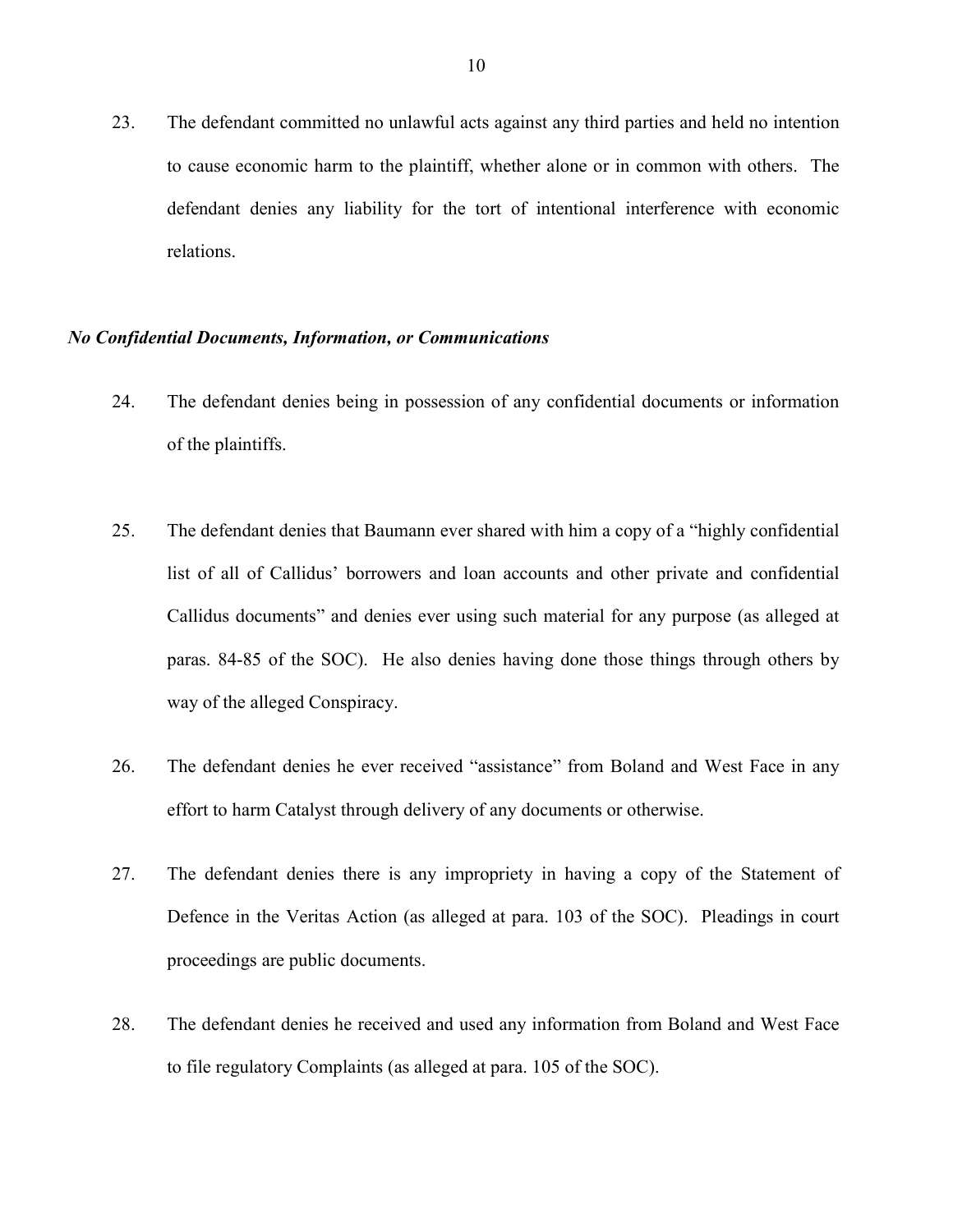23. The defendant committed no unlawful acts against any third parties and held no intention to cause economic harm to the plaintiff, whether alone or in common with others. The defendant denies any liability for the tort of intentional interference with economic relations.

#### No Confidential Documents, Information, or Communications

- 24. The defendant denies being in possession of any confidential documents or information of the plaintiffs.
- 25. The defendant denies that Baumann ever shared with him a copy of a "highly confidential list of all of Callidus' borrowers and loan accounts and other private and confidential Callidus documents" and denies ever using such material for any purpose (as alleged at paras. 84-85 of the SOC). He also denies having done those things through others by way of the alleged Conspiracy.
- 26. The defendant denies he ever received "assistance" from Boland and West Face in any effort to harm Catalyst through delivery of any documents or otherwise.
- 27. The defendant denies there is any impropriety in having a copy of the Statement of Defence in the Veritas Action (as alleged at para. 103 of the SOC). Pleadings in court proceedings are public documents.
- 28. The defendant denies he received and used any information from Boland and West Face to file regulatory Complaints (as alleged at para. 105 of the SOC).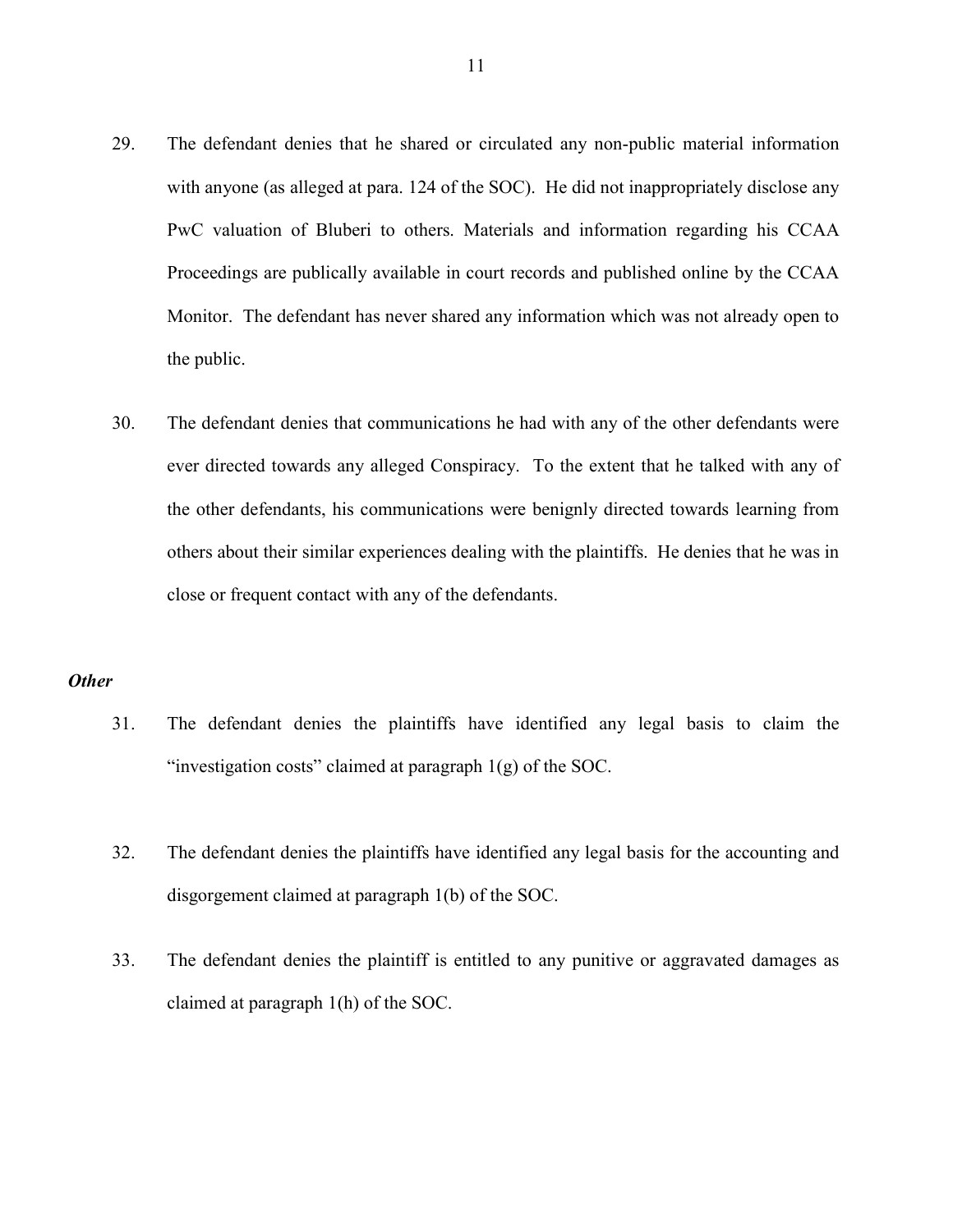- 29. The defendant denies that he shared or circulated any non-public material information with anyone (as alleged at para. 124 of the SOC). He did not inappropriately disclose any PwC valuation of Bluberi to others. Materials and information regarding his CCAA Proceedings are publically available in court records and published online by the CCAA Monitor. The defendant has never shared any information which was not already open to the public.
- 30. The defendant denies that communications he had with any of the other defendants were ever directed towards any alleged Conspiracy. To the extent that he talked with any of the other defendants, his communications were benignly directed towards learning from others about their similar experiences dealing with the plaintiffs. He denies that he was in close or frequent contact with any of the defendants.

#### **Other**

- 31. The defendant denies the plaintiffs have identified any legal basis to claim the "investigation costs" claimed at paragraph 1(g) of the SOC.
- 32. The defendant denies the plaintiffs have identified any legal basis for the accounting and disgorgement claimed at paragraph 1(b) of the SOC.
- 33. The defendant denies the plaintiff is entitled to any punitive or aggravated damages as claimed at paragraph 1(h) of the SOC.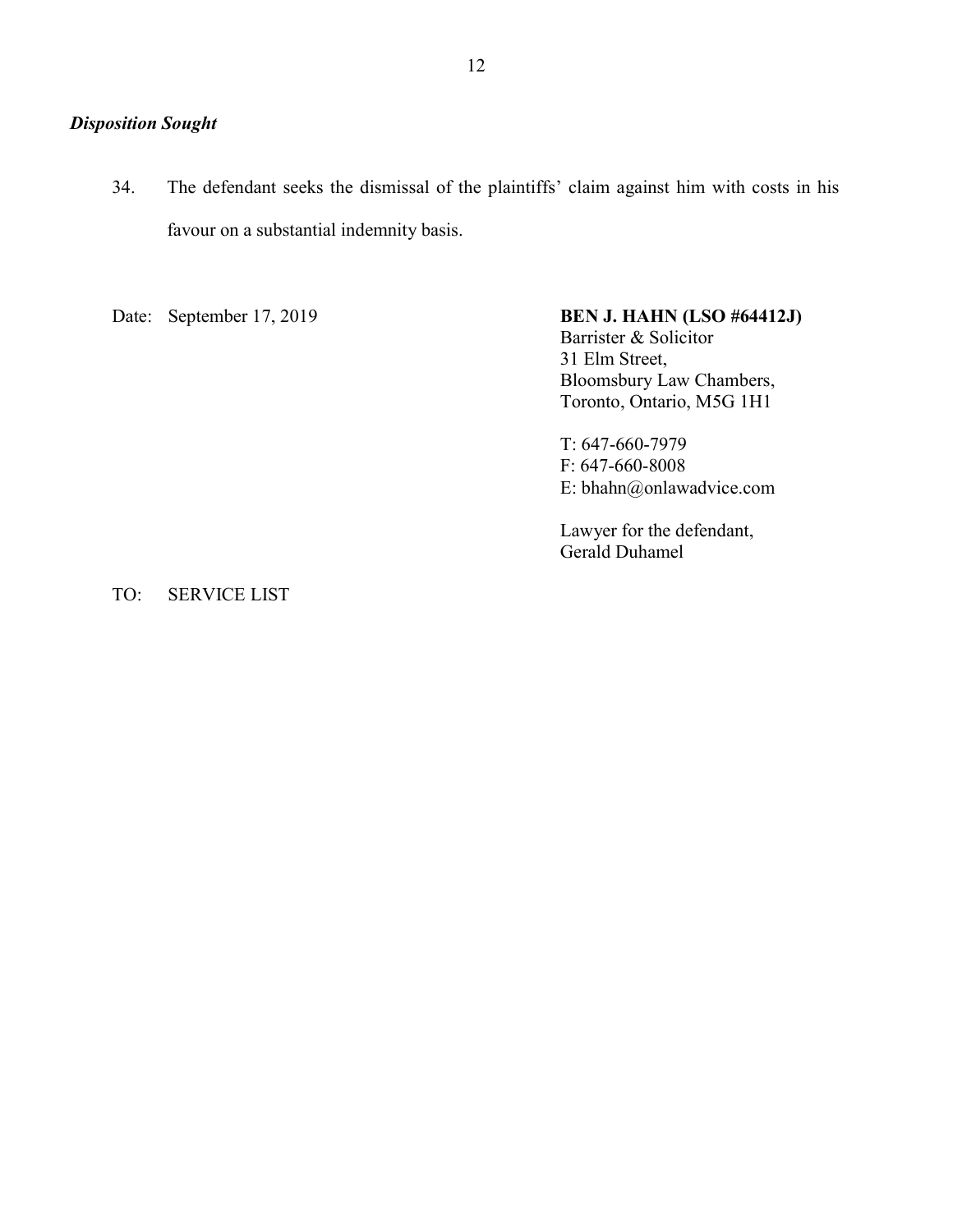# Disposition Sought

34. The defendant seeks the dismissal of the plaintiffs' claim against him with costs in his favour on a substantial indemnity basis.

## Date: September 17, 2019 **BEN J. HAHN (LSO #64412J)**

 Barrister & Solicitor 31 Elm Street, Bloomsbury Law Chambers, Toronto, Ontario, M5G 1H1

 T: 647-660-7979 F: 647-660-8008 E: bhahn@onlawadvice.com

 Lawyer for the defendant, Gerald Duhamel

TO: SERVICE LIST